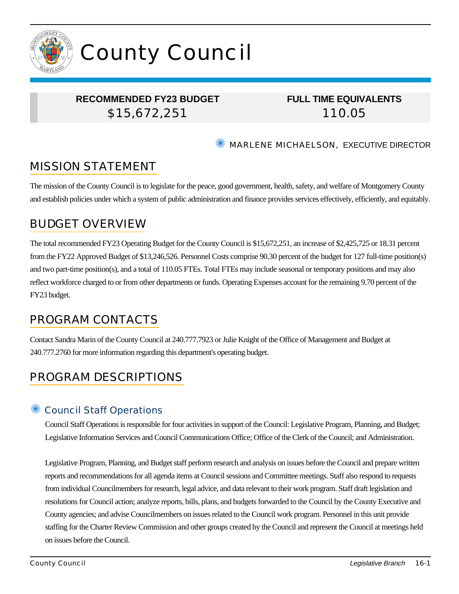

# County Council

### **RECOMMENDED FY23 BUDGET** \$15,672,251

**FULL TIME EQUIVALENTS** 110.05

✺ MARLENE MICHAELSON, EXECUTIVE DIRECTOR

# MISSION STATEMENT

The mission of the County Council is to legislate for the peace, good government, health, safety, and welfare of Montgomery County and establish policies under which a system of public administration and finance provides services effectively, efficiently, and equitably.

# BUDGET OVERVIEW

The total recommended FY23 Operating Budget for the County Council is \$15,672,251, an increase of \$2,425,725 or 18.31 percent from the FY22 Approved Budget of \$13,246,526. Personnel Costs comprise 90.30 percent of the budget for 127 full-time position(s) and two part-time position(s), and a total of 110.05 FTEs. Total FTEs may include seasonal or temporary positions and may also reflect workforce charged to or from other departments or funds. Operating Expenses account for the remaining 9.70 percent of the FY23 budget.

## PROGRAM CONTACTS

Contact Sandra Marin of the County Council at 240.777.7923 or Julie Knight of the Office of Management and Budget at 240.777.2760 for more information regarding this department's operating budget.

# PROGRAM DESCRIPTIONS

#### ✺ Council Staff Operations

Council Staff Operations is responsible for four activities in support of the Council: Legislative Program, Planning, and Budget; Legislative Information Services and Council Communications Office; Office of the Clerk of the Council; and Administration.

Legislative Program, Planning, and Budget staff perform research and analysis on issues before the Council and prepare written reports and recommendations for all agenda items at Council sessions and Committee meetings. Staff also respond to requests from individual Councilmembers for research, legal advice, and data relevant to their work program. Staff draft legislation and resolutions for Council action; analyze reports, bills, plans, and budgets forwarded to the Council by the County Executive and County agencies; and advise Councilmembers on issues related to the Council work program. Personnel in this unit provide staffing for the Charter Review Commission and other groups created by the Council and represent the Council at meetings held on issues before the Council.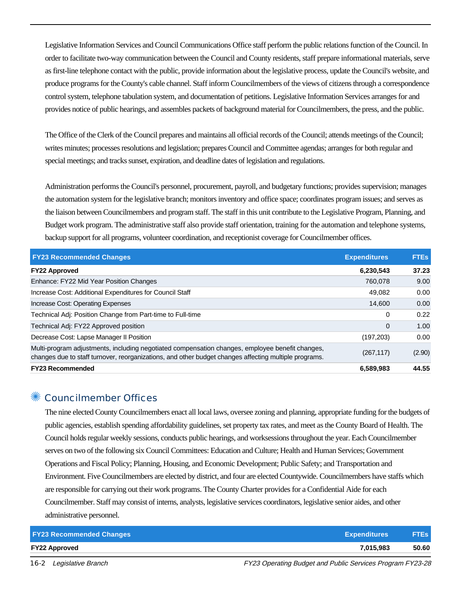Legislative Information Services and Council Communications Office staff perform the public relations function of the Council. In order to facilitate two-way communication between the Council and County residents, staff prepare informational materials, serve as first-line telephone contact with the public, provide information about the legislative process, update the Council's website, and produce programs for the County's cable channel. Staff inform Councilmembers of the views of citizens through a correspondence control system, telephone tabulation system, and documentation of petitions. Legislative Information Services arranges for and provides notice of public hearings, and assembles packets of background material for Councilmembers, the press, and the public.

The Office of the Clerk of the Council prepares and maintains all official records of the Council; attends meetings of the Council; writes minutes; processes resolutions and legislation; prepares Council and Committee agendas; arranges for both regular and special meetings; and tracks sunset, expiration, and deadline dates of legislation and regulations.

Administration performs the Council's personnel, procurement, payroll, and budgetary functions; provides supervision; manages the automation system for the legislative branch; monitors inventory and office space; coordinates program issues; and serves as the liaison between Councilmembers and program staff. The staff in this unit contribute to the Legislative Program, Planning, and Budget work program. The administrative staff also provide staff orientation, training for the automation and telephone systems, backup support for all programs, volunteer coordination, and receptionist coverage for Councilmember offices.

| <b>FY23 Recommended Changes</b>                                                                                                                                                                          | <b>Expenditures</b> | <b>FTES</b> |
|----------------------------------------------------------------------------------------------------------------------------------------------------------------------------------------------------------|---------------------|-------------|
| <b>FY22 Approved</b>                                                                                                                                                                                     | 6,230,543           | 37.23       |
| Enhance: FY22 Mid Year Position Changes                                                                                                                                                                  | 760,078             | 9.00        |
| Increase Cost: Additional Expenditures for Council Staff                                                                                                                                                 | 49.082              | 0.00        |
| Increase Cost: Operating Expenses                                                                                                                                                                        | 14,600              | 0.00        |
| Technical Adj: Position Change from Part-time to Full-time                                                                                                                                               | 0                   | 0.22        |
| Technical Adj: FY22 Approved position                                                                                                                                                                    | $\mathbf 0$         | 1.00        |
| Decrease Cost: Lapse Manager II Position                                                                                                                                                                 | (197, 203)          | 0.00        |
| Multi-program adjustments, including negotiated compensation changes, employee benefit changes,<br>changes due to staff turnover, reorganizations, and other budget changes affecting multiple programs. | (267, 117)          | (2.90)      |
| <b>FY23 Recommended</b>                                                                                                                                                                                  | 6,589,983           | 44.55       |

#### ✺ Councilmember Offices

The nine elected County Councilmembers enact all local laws, oversee zoning and planning, appropriate funding for the budgets of public agencies, establish spending affordability guidelines, set property tax rates, and meet as the County Board of Health. The Council holds regular weekly sessions, conducts public hearings, and worksessions throughout the year. Each Councilmember serves on two of the following six Council Committees: Education and Culture; Health and Human Services; Government Operations and Fiscal Policy; Planning, Housing, and Economic Development; Public Safety; and Transportation and Environment. Five Councilmembers are elected by district, and four are elected Countywide. Councilmembers have staffs which are responsible for carrying out their work programs. The County Charter provides for a Confidential Aide for each Councilmember. Staff may consist of interns, analysts, legislative services coordinators, legislative senior aides, and other administrative personnel.

| <b>FY23 Recommended Changes</b> | <b>Expenditures</b> | <b>FTES</b> |
|---------------------------------|---------------------|-------------|
| <b>FY22 Approved</b>            | 7.015.983           | 50.60       |

16-2 Legislative Branch FY23 Operating Budget and Public Services Program FY23-28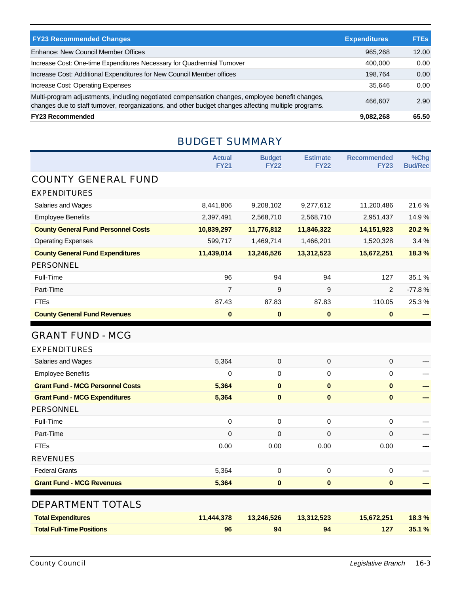| <b>FY23 Recommended Changes</b>                                                                                                                                                                          | <b>Expenditures</b> | <b>FTEs</b> |
|----------------------------------------------------------------------------------------------------------------------------------------------------------------------------------------------------------|---------------------|-------------|
| Enhance: New Council Member Offices                                                                                                                                                                      | 965,268             | 12.00       |
| Increase Cost: One-time Expenditures Necessary for Quadrennial Turnover                                                                                                                                  | 400.000             | 0.00        |
| Increase Cost: Additional Expenditures for New Council Member offices                                                                                                                                    | 198.764             | 0.00        |
| Increase Cost: Operating Expenses                                                                                                                                                                        | 35.646              | 0.00        |
| Multi-program adjustments, including negotiated compensation changes, employee benefit changes,<br>changes due to staff turnover, reorganizations, and other budget changes affecting multiple programs. | 466.607             | 2.90        |
| <b>FY23 Recommended</b>                                                                                                                                                                                  | 9,082,268           | 65.50       |

#### BUDGET SUMMARY

|                                            | <b>Actual</b><br><b>FY21</b> | <b>Budget</b><br><b>FY22</b> | <b>Estimate</b><br><b>FY22</b> | <b>Recommended</b><br><b>FY23</b> | %Chg<br><b>Bud/Rec</b> |
|--------------------------------------------|------------------------------|------------------------------|--------------------------------|-----------------------------------|------------------------|
| <b>COUNTY GENERAL FUND</b>                 |                              |                              |                                |                                   |                        |
| <b>EXPENDITURES</b>                        |                              |                              |                                |                                   |                        |
| Salaries and Wages                         | 8,441,806                    | 9,208,102                    | 9,277,612                      | 11,200,486                        | 21.6%                  |
| <b>Employee Benefits</b>                   | 2,397,491                    | 2,568,710                    | 2,568,710                      | 2,951,437                         | 14.9%                  |
| <b>County General Fund Personnel Costs</b> | 10,839,297                   | 11,776,812                   | 11,846,322                     | 14, 151, 923                      | 20.2%                  |
| <b>Operating Expenses</b>                  | 599,717                      | 1,469,714                    | 1,466,201                      | 1,520,328                         | 3.4 %                  |
| <b>County General Fund Expenditures</b>    | 11,439,014                   | 13,246,526                   | 13,312,523                     | 15,672,251                        | 18.3 %                 |
| <b>PERSONNEL</b>                           |                              |                              |                                |                                   |                        |
| Full-Time                                  | 96                           | 94                           | 94                             | 127                               | 35.1%                  |
| Part-Time                                  | 7                            | 9                            | 9                              | 2                                 | $-77.8%$               |
| <b>FTEs</b>                                | 87.43                        | 87.83                        | 87.83                          | 110.05                            | 25.3%                  |
| <b>County General Fund Revenues</b>        | $\bf{0}$                     | $\bf{0}$                     | $\bf{0}$                       | $\mathbf{0}$                      |                        |
| <b>GRANT FUND - MCG</b>                    |                              |                              |                                |                                   |                        |
| <b>EXPENDITURES</b>                        |                              |                              |                                |                                   |                        |
| Salaries and Wages                         | 5,364                        | $\mathsf 0$                  | $\pmb{0}$                      | 0                                 |                        |
| <b>Employee Benefits</b>                   | 0                            | 0                            | $\Omega$                       | 0                                 |                        |
| <b>Grant Fund - MCG Personnel Costs</b>    | 5,364                        | $\bf{0}$                     | $\bf{0}$                       | $\bf{0}$                          |                        |
| <b>Grant Fund - MCG Expenditures</b>       | 5,364                        | $\mathbf 0$                  | $\mathbf{0}$                   | $\mathbf{0}$                      |                        |
| <b>PERSONNEL</b>                           |                              |                              |                                |                                   |                        |
| Full-Time                                  | 0                            | 0                            | 0                              | 0                                 |                        |
| Part-Time                                  | 0                            | 0                            | $\mathbf 0$                    | 0                                 |                        |
| <b>FTEs</b>                                | 0.00                         | 0.00                         | 0.00                           | 0.00                              |                        |
| <b>REVENUES</b>                            |                              |                              |                                |                                   |                        |

| <b>Federal Grants</b>            | 5.364      | 0          | 0          | 0          |       |
|----------------------------------|------------|------------|------------|------------|-------|
| <b>Grant Fund - MCG Revenues</b> | 5.364      | $\bf{0}$   | $\bf{0}$   | 0          |       |
| DEPARTMENT TOTALS                |            |            |            |            |       |
| <b>Total Expenditures</b>        | 11,444,378 | 13.246.526 | 13,312,523 | 15,672,251 | 18.3% |
| <b>Total Full-Time Positions</b> | 96         | 94         | 94         | 127        | 35.1% |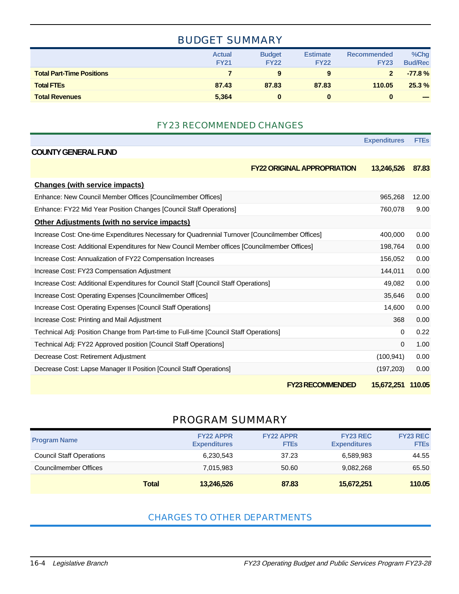#### BUDGET SUMMARY

|                                  | <b>Actual</b><br><b>FY21</b> | <b>Budget</b><br><b>FY22</b> | <b>Estimate</b><br><b>FY22</b> | <b>Recommended</b><br><b>FY23</b> | %Chg<br><b>Bud/Rec</b>                                                                                                                                                                                                                                                                                                                                                                                                                                                     |
|----------------------------------|------------------------------|------------------------------|--------------------------------|-----------------------------------|----------------------------------------------------------------------------------------------------------------------------------------------------------------------------------------------------------------------------------------------------------------------------------------------------------------------------------------------------------------------------------------------------------------------------------------------------------------------------|
| <b>Total Part-Time Positions</b> |                              | 9                            | 9                              |                                   | $-77.8%$                                                                                                                                                                                                                                                                                                                                                                                                                                                                   |
| <b>Total FTEs</b>                | 87.43                        | 87.83                        | 87.83                          | 110.05                            | 25.3%                                                                                                                                                                                                                                                                                                                                                                                                                                                                      |
| <b>Total Revenues</b>            | 5,364                        | 0                            |                                |                                   | $\frac{1}{2} \left( \frac{1}{2} \right) \left( \frac{1}{2} \right) \left( \frac{1}{2} \right) \left( \frac{1}{2} \right) \left( \frac{1}{2} \right) \left( \frac{1}{2} \right) \left( \frac{1}{2} \right) \left( \frac{1}{2} \right) \left( \frac{1}{2} \right) \left( \frac{1}{2} \right) \left( \frac{1}{2} \right) \left( \frac{1}{2} \right) \left( \frac{1}{2} \right) \left( \frac{1}{2} \right) \left( \frac{1}{2} \right) \left( \frac{1}{2} \right) \left( \frac$ |

#### FY23 RECOMMENDED CHANGES

|                                                                                                 | <b>Expenditures</b> | <b>FTEs</b> |
|-------------------------------------------------------------------------------------------------|---------------------|-------------|
| <b>COUNTY GENERAL FUND</b>                                                                      |                     |             |
| <b>FY22 ORIGINAL APPROPRIATION</b>                                                              | 13,246,526          | 87.83       |
| <b>Changes (with service impacts)</b>                                                           |                     |             |
| Enhance: New Council Member Offices [Councilmember Offices]                                     | 965,268             | 12.00       |
| Enhance: FY22 Mid Year Position Changes [Council Staff Operations]                              | 760,078             | 9.00        |
| <b>Other Adjustments (with no service impacts)</b>                                              |                     |             |
| Increase Cost: One-time Expenditures Necessary for Quadrennial Turnover [Councilmember Offices] | 400,000             | 0.00        |
| Increase Cost: Additional Expenditures for New Council Member offices [Councilmember Offices]   | 198,764             | 0.00        |
| Increase Cost: Annualization of FY22 Compensation Increases                                     | 156,052             | 0.00        |
| Increase Cost: FY23 Compensation Adjustment                                                     | 144,011             | 0.00        |
| Increase Cost: Additional Expenditures for Council Staff [Council Staff Operations]             | 49,082              | 0.00        |
| Increase Cost: Operating Expenses [Councilmember Offices]                                       | 35,646              | 0.00        |
| Increase Cost: Operating Expenses [Council Staff Operations]                                    | 14,600              | 0.00        |
| Increase Cost: Printing and Mail Adjustment                                                     | 368                 | 0.00        |
| Technical Adj: Position Change from Part-time to Full-time [Council Staff Operations]           | 0                   | 0.22        |
| Technical Adj: FY22 Approved position [Council Staff Operations]                                | $\Omega$            | 1.00        |
| Decrease Cost: Retirement Adjustment                                                            | (100, 941)          | 0.00        |
| Decrease Cost: Lapse Manager II Position [Council Staff Operations]                             | (197, 203)          | 0.00        |
| <b>FY23 RECOMMENDED</b>                                                                         | 15,672,251 110.05   |             |

#### PROGRAM SUMMARY

| <b>Program Name</b>             |              | <b>FY22 APPR</b><br><b>Expenditures</b> | <b>FY22 APPR</b><br><b>FTEs</b> | <b>FY23 REC</b><br><b>Expenditures</b> | <b>FY23 REC</b><br><b>FTEs</b> |
|---------------------------------|--------------|-----------------------------------------|---------------------------------|----------------------------------------|--------------------------------|
| <b>Council Staff Operations</b> |              | 6,230,543                               | 37.23                           | 6,589,983                              | 44.55                          |
| Councilmember Offices           |              | 7.015.983                               | 50.60                           | 9,082,268                              | 65.50                          |
|                                 | <b>Total</b> | 13,246,526                              | 87.83                           | 15,672,251                             | 110.05                         |

#### CHARGES TO OTHER DEPARTMENTS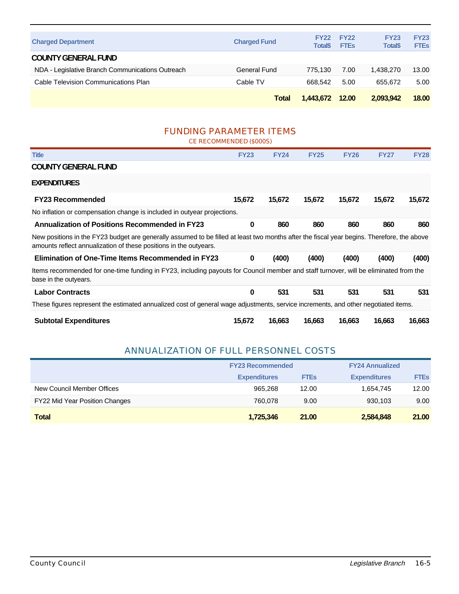|                                                  | Total               | 1.443.672 12.00               |                            | 2.093.942                      | 18.00                      |
|--------------------------------------------------|---------------------|-------------------------------|----------------------------|--------------------------------|----------------------------|
| Cable Television Communications Plan             | Cable TV            | 668.542                       | 5.00                       | 655.672                        | 5.00                       |
| NDA - Legislative Branch Communications Outreach | General Fund        | 775.130                       | 7.00                       | 1.438.270                      | 13.00                      |
| <b>COUNTY GENERAL FUND</b>                       |                     |                               |                            |                                |                            |
| <b>Charged Department</b>                        | <b>Charged Fund</b> | <b>FY22</b><br><b>Total\$</b> | <b>FY22</b><br><b>FTEs</b> | <b>FY23</b><br><b>Total</b> \$ | <b>FY23</b><br><b>FTEs</b> |
|                                                  |                     |                               |                            |                                |                            |

#### FUNDING PARAMETER ITEMS CE RECOMMENDED (\$000S)

| CE RECOMMENDED (\$000S)                                                                                                                                                                                         |             |             |             |             |             |             |
|-----------------------------------------------------------------------------------------------------------------------------------------------------------------------------------------------------------------|-------------|-------------|-------------|-------------|-------------|-------------|
| <b>Title</b>                                                                                                                                                                                                    | <b>FY23</b> | <b>FY24</b> | <b>FY25</b> | <b>FY26</b> | <b>FY27</b> | <b>FY28</b> |
| <b>COUNTY GENERAL FUND</b>                                                                                                                                                                                      |             |             |             |             |             |             |
| <b>EXPENDITURES</b>                                                                                                                                                                                             |             |             |             |             |             |             |
| <b>FY23 Recommended</b>                                                                                                                                                                                         | 15,672      | 15,672      | 15,672      | 15,672      | 15,672      | 15,672      |
| No inflation or compensation change is included in outyear projections.                                                                                                                                         |             |             |             |             |             |             |
| <b>Annualization of Positions Recommended in FY23</b>                                                                                                                                                           | $\bf{0}$    | 860         | 860         | 860         | 860         | 860         |
| New positions in the FY23 budget are generally assumed to be filled at least two months after the fiscal year begins. Therefore, the above<br>amounts reflect annualization of these positions in the outyears. |             |             |             |             |             |             |
| <b>Elimination of One-Time Items Recommended in FY23</b>                                                                                                                                                        | $\bf{0}$    | (400)       | (400)       | (400)       | (400)       | (400)       |
| Items recommended for one-time funding in FY23, including payouts for Council member and staff turnover, will be eliminated from the<br>base in the outyears.                                                   |             |             |             |             |             |             |
| <b>Labor Contracts</b>                                                                                                                                                                                          | $\bf{0}$    | 531         | 531         | 531         | 531         | 531         |
| These figures represent the estimated annualized cost of general wage adjustments, service increments, and other negotiated items.                                                                              |             |             |             |             |             |             |
| <b>Subtotal Expenditures</b>                                                                                                                                                                                    | 15,672      | 16,663      | 16,663      | 16,663      | 16,663      | 16,663      |

#### ANNUALIZATION OF FULL PERSONNEL COSTS

|                                | <b>FY23 Recommended</b> |             | <b>FY24 Annualized</b> |             |  |
|--------------------------------|-------------------------|-------------|------------------------|-------------|--|
|                                | <b>Expenditures</b>     | <b>FTEs</b> | <b>Expenditures</b>    | <b>FTEs</b> |  |
| New Council Member Offices     | 965.268                 | 12.00       | 1,654,745              | 12.00       |  |
| FY22 Mid Year Position Changes | 760.078                 | 9.00        | 930,103                | 9.00        |  |
| <b>Total</b>                   | 1,725,346               | 21.00       | 2,584,848              | 21.00       |  |

ï